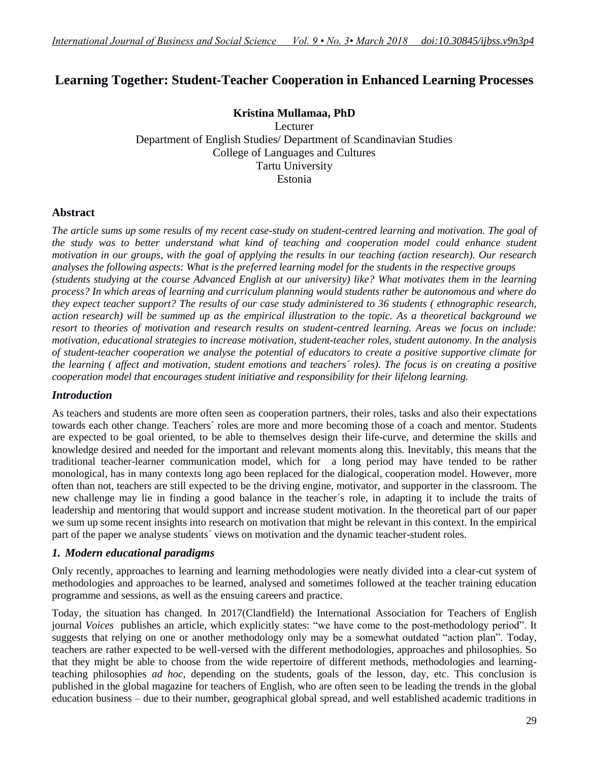# **Learning Together: Student-Teacher Cooperation in Enhanced Learning Processes**

## **Kristina Mullamaa, PhD**

Lecturer Department of English Studies/ Department of Scandinavian Studies College of Languages and Cultures Tartu University Estonia

#### **Abstract**

*The article sums up some results of my recent case-study on student-centred learning and motivation. The goal of the study was to better understand what kind of teaching and cooperation model could enhance student motivation in our groups, with the goal of applying the results in our teaching (action research). Our research analyses the following aspects: What is the preferred learning model for the students in the respective groups (students studying at the course Advanced English at our university) like? What motivates them in the learning process? In which areas of learning and curriculum planning would students rather be autonomous and where do they expect teacher support? The results of our case study administered to 36 students ( ethnographic research, action research) will be summed up as the empirical illustration to the topic. As a theoretical background we resort to theories of motivation and research results on student-centred learning. Areas we focus on include: motivation, educational strategies to increase motivation, student-teacher roles, student autonomy. In the analysis of student-teacher cooperation we analyse the potential of educators to create a positive supportive climate for the learning ( affect and motivation, student emotions and teachers´ roles). The focus is on creating a positive cooperation model that encourages student initiative and responsibility for their lifelong learning.*

#### *Introduction*

As teachers and students are more often seen as cooperation partners, their roles, tasks and also their expectations towards each other change. Teachers´ roles are more and more becoming those of a coach and mentor. Students are expected to be goal oriented, to be able to themselves design their life-curve, and determine the skills and knowledge desired and needed for the important and relevant moments along this. Inevitably, this means that the traditional teacher-learner communication model, which for a long period may have tended to be rather monological, has in many contexts long ago been replaced for the dialogical, cooperation model. However, more often than not, teachers are still expected to be the driving engine, motivator, and supporter in the classroom. The new challenge may lie in finding a good balance in the teacher´s role, in adapting it to include the traits of leadership and mentoring that would support and increase student motivation. In the theoretical part of our paper we sum up some recent insights into research on motivation that might be relevant in this context. In the empirical part of the paper we analyse students´ views on motivation and the dynamic teacher-student roles.

## *1. Modern educational paradigms*

Only recently, approaches to learning and learning methodologies were neatly divided into a clear-cut system of methodologies and approaches to be learned, analysed and sometimes followed at the teacher training education programme and sessions, as well as the ensuing careers and practice.

Today, the situation has changed. In 2017(Clandfield) the International Association for Teachers of English journal *Voices* publishes an article, which explicitly states: "we have come to the post-methodology period". It suggests that relying on one or another methodology only may be a somewhat outdated "action plan". Today, teachers are rather expected to be well-versed with the different methodologies, approaches and philosophies. So that they might be able to choose from the wide repertoire of different methods, methodologies and learningteaching philosophies *ad hoc*, depending on the students, goals of the lesson, day, etc. This conclusion is published in the global magazine for teachers of English, who are often seen to be leading the trends in the global education business – due to their number, geographical global spread, and well established academic traditions in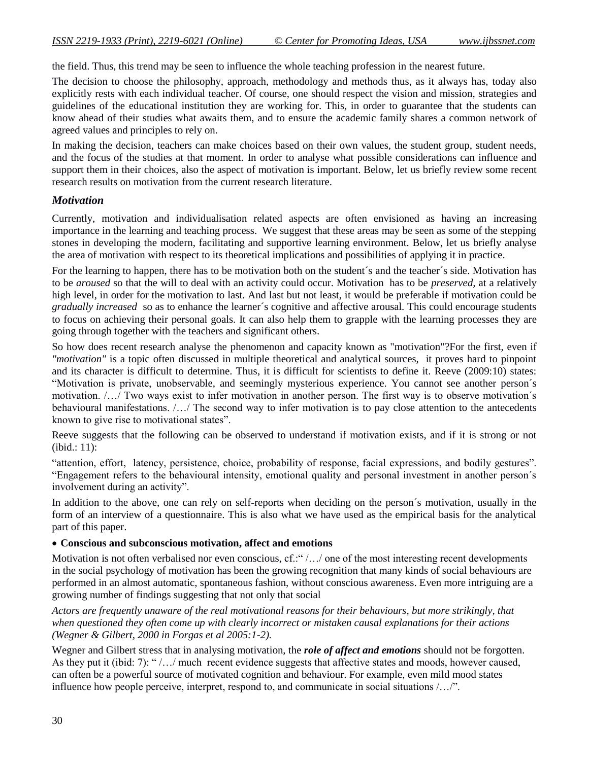the field. Thus, this trend may be seen to influence the whole teaching profession in the nearest future.

The decision to choose the philosophy, approach, methodology and methods thus, as it always has, today also explicitly rests with each individual teacher. Of course, one should respect the vision and mission, strategies and guidelines of the educational institution they are working for. This, in order to guarantee that the students can know ahead of their studies what awaits them, and to ensure the academic family shares a common network of agreed values and principles to rely on.

In making the decision, teachers can make choices based on their own values, the student group, student needs, and the focus of the studies at that moment. In order to analyse what possible considerations can influence and support them in their choices, also the aspect of motivation is important. Below, let us briefly review some recent research results on motivation from the current research literature.

## *Motivation*

Currently, motivation and individualisation related aspects are often envisioned as having an increasing importance in the learning and teaching process. We suggest that these areas may be seen as some of the stepping stones in developing the modern, facilitating and supportive learning environment. Below, let us briefly analyse the area of motivation with respect to its theoretical implications and possibilities of applying it in practice.

For the learning to happen, there has to be motivation both on the student´s and the teacher´s side. Motivation has to be *aroused* so that the will to deal with an activity could occur. Motivation has to be *preserved,* at a relatively high level, in order for the motivation to last. And last but not least, it would be preferable if motivation could be *gradually increased* so as to enhance the learner´s cognitive and affective arousal. This could encourage students to focus on achieving their personal goals. It can also help them to grapple with the learning processes they are going through together with the teachers and significant others.

So how does recent research analyse the phenomenon and capacity known as "motivation"?For the first, even if *"motivation"* is a topic often discussed in multiple theoretical and analytical sources, it proves hard to pinpoint and its character is difficult to determine. Thus, it is difficult for scientists to define it. Reeve (2009:10) states: "Motivation is private, unobservable, and seemingly mysterious experience. You cannot see another person´s motivation. /…/ Two ways exist to infer motivation in another person. The first way is to observe motivation´s behavioural manifestations. /…/ The second way to infer motivation is to pay close attention to the antecedents known to give rise to motivational states".

Reeve suggests that the following can be observed to understand if motivation exists, and if it is strong or not (ibid.: 11):

"attention, effort, latency, persistence, choice, probability of response, facial expressions, and bodily gestures". "Engagement refers to the behavioural intensity, emotional quality and personal investment in another person´s involvement during an activity".

In addition to the above, one can rely on self-reports when deciding on the person's motivation, usually in the form of an interview of a questionnaire. This is also what we have used as the empirical basis for the analytical part of this paper.

#### **Conscious and subconscious motivation, affect and emotions**

Motivation is not often verbalised nor even conscious, cf.:" /…/ one of the most interesting recent developments in the social psychology of motivation has been the growing recognition that many kinds of social behaviours are performed in an almost automatic, spontaneous fashion, without conscious awareness. Even more intriguing are a growing number of findings suggesting that not only that social

*Actors are frequently unaware of the real motivational reasons for their behaviours, but more strikingly, that when questioned they often come up with clearly incorrect or mistaken causal explanations for their actions (Wegner & Gilbert, 2000 in Forgas et al 2005:1-2).* 

Wegner and Gilbert stress that in analysing motivation, the *role of affect and emotions* should not be forgotten. As they put it (ibid: 7): " /…/ much recent evidence suggests that affective states and moods, however caused, can often be a powerful source of motivated cognition and behaviour. For example, even mild mood states influence how people perceive, interpret, respond to, and communicate in social situations /…/".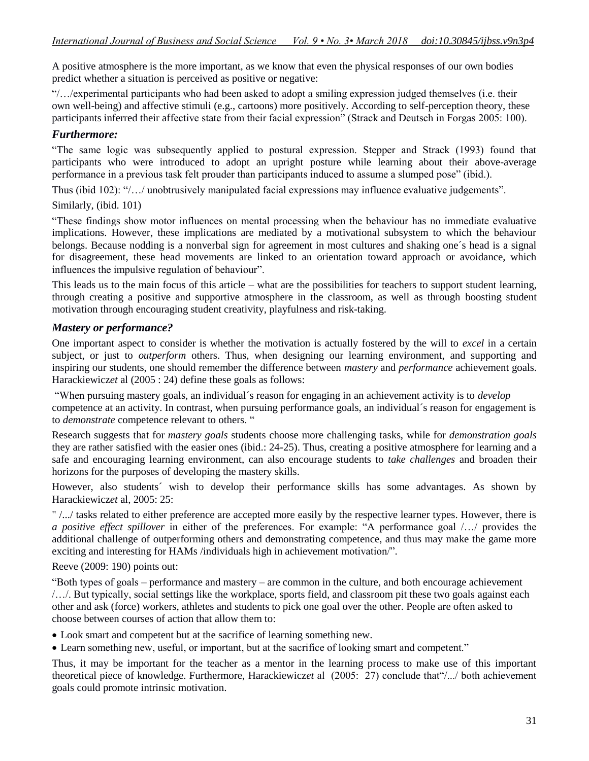A positive atmosphere is the more important, as we know that even the physical responses of our own bodies predict whether a situation is perceived as positive or negative:

"/…/experimental participants who had been asked to adopt a smiling expression judged themselves (i.e. their own well-being) and affective stimuli (e.g., cartoons) more positively. According to self-perception theory, these participants inferred their affective state from their facial expression" (Strack and Deutsch in Forgas 2005: 100).

## *Furthermore:*

"The same logic was subsequently applied to postural expression. Stepper and Strack (1993) found that participants who were introduced to adopt an upright posture while learning about their above-average performance in a previous task felt prouder than participants induced to assume a slumped pose" (ibid.).

Thus (ibid 102): "/…/ unobtrusively manipulated facial expressions may influence evaluative judgements".

Similarly, (ibid. 101)

"These findings show motor influences on mental processing when the behaviour has no immediate evaluative implications. However, these implications are mediated by a motivational subsystem to which the behaviour belongs. Because nodding is a nonverbal sign for agreement in most cultures and shaking one´s head is a signal for disagreement, these head movements are linked to an orientation toward approach or avoidance, which influences the impulsive regulation of behaviour".

This leads us to the main focus of this article – what are the possibilities for teachers to support student learning, through creating a positive and supportive atmosphere in the classroom, as well as through boosting student motivation through encouraging student creativity, playfulness and risk-taking.

## *Mastery or performance?*

One important aspect to consider is whether the motivation is actually fostered by the will to *excel* in a certain subject, or just to *outperform* others. Thus, when designing our learning environment, and supporting and inspiring our students, one should remember the difference between *mastery* and *performance* achievement goals. Harackiewicz*et* al (2005 : 24) define these goals as follows:

"When pursuing mastery goals, an individual´s reason for engaging in an achievement activity is to *develop* competence at an activity. In contrast, when pursuing performance goals, an individual´s reason for engagement is to *demonstrate* competence relevant to others. "

Research suggests that for *mastery goals* students choose more challenging tasks, while for *demonstration goals* they are rather satisfied with the easier ones (ibid.: 24-25). Thus, creating a positive atmosphere for learning and a safe and encouraging learning environment, can also encourage students to *take challenges* and broaden their horizons for the purposes of developing the mastery skills.

However, also students´ wish to develop their performance skills has some advantages. As shown by Harackiewicz*et* al, 2005: 25:

" /.../ tasks related to either preference are accepted more easily by the respective learner types. However, there is *a positive effect spillover* in either of the preferences. For example: "A performance goal /…/ provides the additional challenge of outperforming others and demonstrating competence, and thus may make the game more exciting and interesting for HAMs /individuals high in achievement motivation/".

Reeve (2009: 190) points out:

"Both types of goals – performance and mastery – are common in the culture, and both encourage achievement /…/. But typically, social settings like the workplace, sports field, and classroom pit these two goals against each other and ask (force) workers, athletes and students to pick one goal over the other. People are often asked to choose between courses of action that allow them to:

- Look smart and competent but at the sacrifice of learning something new.
- Learn something new, useful, or important, but at the sacrifice of looking smart and competent."

Thus, it may be important for the teacher as a mentor in the learning process to make use of this important theoretical piece of knowledge. Furthermore, Harackiewicz*et* al (2005: 27) conclude that"/.../ both achievement goals could promote intrinsic motivation.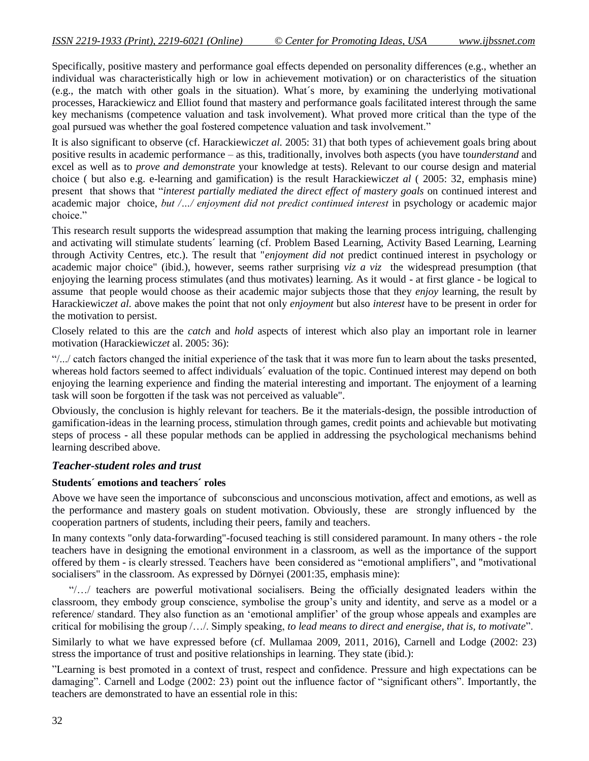Specifically, positive mastery and performance goal effects depended on personality differences (e.g., whether an individual was characteristically high or low in achievement motivation) or on characteristics of the situation (e.g., the match with other goals in the situation). What´s more, by examining the underlying motivational processes, Harackiewicz and Elliot found that mastery and performance goals facilitated interest through the same key mechanisms (competence valuation and task involvement). What proved more critical than the type of the goal pursued was whether the goal fostered competence valuation and task involvement."

It is also significant to observe (cf. Harackiewicz*et al.* 2005: 31) that both types of achievement goals bring about positive results in academic performance – as this, traditionally, involves both aspects (you have to*understand* and excel as well as to *prove and demonstrate* your knowledge at tests). Relevant to our course design and material choice ( but also e.g. e-learning and gamification) is the result Harackiewicz*et al* ( 2005: 32, emphasis mine) present that shows that "*interest partially mediated the direct effect of mastery goals* on continued interest and academic major choice, *but /.../ enjoyment did not predict continued interest* in psychology or academic major choice."

This research result supports the widespread assumption that making the learning process intriguing, challenging and activating will stimulate students´ learning (cf. Problem Based Learning, Activity Based Learning, Learning through Activity Centres, etc.). The result that "*enjoyment did not* predict continued interest in psychology or academic major choice" (ibid.), however, seems rather surprising *viz a viz* the widespread presumption (that enjoying the learning process stimulates (and thus motivates) learning. As it would - at first glance - be logical to assume that people would choose as their academic major subjects those that they *enjoy* learning, the result by Harackiewicz*et al.* above makes the point that not only *enjoyment* but also *interest* have to be present in order for the motivation to persist.

Closely related to this are the *catch* and *hold* aspects of interest which also play an important role in learner motivation (Harackiewicz*et* al. 2005: 36):

"/.../ catch factors changed the initial experience of the task that it was more fun to learn about the tasks presented, whereas hold factors seemed to affect individuals' evaluation of the topic. Continued interest may depend on both enjoying the learning experience and finding the material interesting and important. The enjoyment of a learning task will soon be forgotten if the task was not perceived as valuable".

Obviously, the conclusion is highly relevant for teachers. Be it the materials-design, the possible introduction of gamification-ideas in the learning process, stimulation through games, credit points and achievable but motivating steps of process - all these popular methods can be applied in addressing the psychological mechanisms behind learning described above.

## *Teacher-student roles and trust*

#### **Students´ emotions and teachers´ roles**

Above we have seen the importance of subconscious and unconscious motivation, affect and emotions, as well as the performance and mastery goals on student motivation. Obviously, these are strongly influenced by the cooperation partners of students, including their peers, family and teachers.

In many contexts "only data-forwarding"-focused teaching is still considered paramount. In many others - the role teachers have in designing the emotional environment in a classroom, as well as the importance of the support offered by them - is clearly stressed. Teachers have been considered as "emotional amplifiers", and "motivational socialisers" in the classroom. As expressed by Dörnyei (2001:35, emphasis mine):

"/…/ teachers are powerful motivational socialisers. Being the officially designated leaders within the classroom, they embody group conscience, symbolise the group"s unity and identity, and serve as a model or a reference/ standard. They also function as an "emotional amplifier" of the group whose appeals and examples are critical for mobilising the group /…/. Simply speaking, *to lead means to direct and energise, that is, to motivate*".

Similarly to what we have expressed before (cf. Mullamaa 2009, 2011, 2016), Carnell and Lodge (2002: 23) stress the importance of trust and positive relationships in learning. They state (ibid.):

"Learning is best promoted in a context of trust, respect and confidence. Pressure and high expectations can be damaging". Carnell and Lodge (2002: 23) point out the influence factor of "significant others". Importantly, the teachers are demonstrated to have an essential role in this: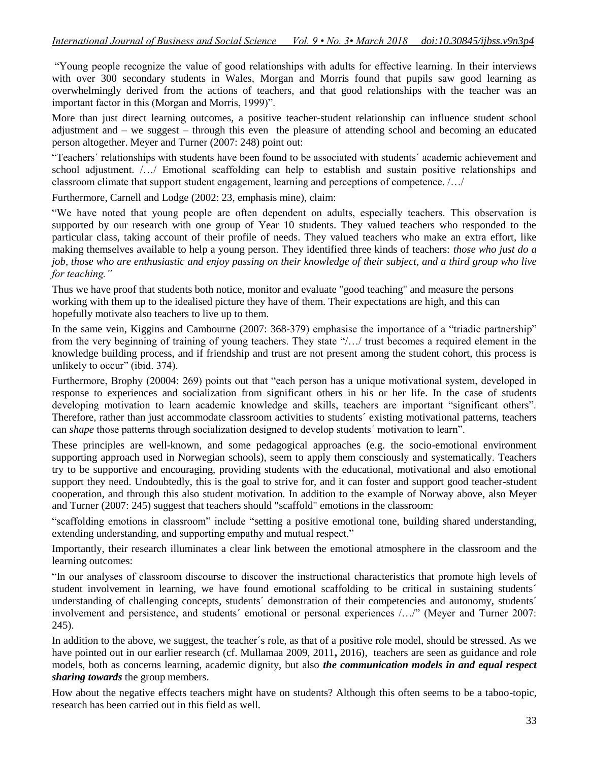"Young people recognize the value of good relationships with adults for effective learning. In their interviews with over 300 secondary students in Wales, Morgan and Morris found that pupils saw good learning as overwhelmingly derived from the actions of teachers, and that good relationships with the teacher was an important factor in this (Morgan and Morris, 1999)".

More than just direct learning outcomes, a positive teacher-student relationship can influence student school adjustment and – we suggest – through this even the pleasure of attending school and becoming an educated person altogether. Meyer and Turner (2007: 248) point out:

"Teachers´ relationships with students have been found to be associated with students´ academic achievement and school adjustment. /…/ Emotional scaffolding can help to establish and sustain positive relationships and classroom climate that support student engagement, learning and perceptions of competence. /…/

Furthermore, Carnell and Lodge (2002: 23, emphasis mine), claim:

"We have noted that young people are often dependent on adults, especially teachers. This observation is supported by our research with one group of Year 10 students. They valued teachers who responded to the particular class, taking account of their profile of needs. They valued teachers who make an extra effort, like making themselves available to help a young person. They identified three kinds of teachers: *those who just do a job, those who are enthusiastic and enjoy passing on their knowledge of their subject, and a third group who live for teaching."*

Thus we have proof that students both notice, monitor and evaluate "good teaching" and measure the persons working with them up to the idealised picture they have of them. Their expectations are high, and this can hopefully motivate also teachers to live up to them.

In the same vein, Kiggins and Cambourne (2007: 368-379) emphasise the importance of a "triadic partnership" from the very beginning of training of young teachers. They state "/…/ trust becomes a required element in the knowledge building process, and if friendship and trust are not present among the student cohort, this process is unlikely to occur" (ibid. 374).

Furthermore, Brophy (20004: 269) points out that "each person has a unique motivational system, developed in response to experiences and socialization from significant others in his or her life. In the case of students developing motivation to learn academic knowledge and skills, teachers are important "significant others". Therefore, rather than just accommodate classroom activities to students´ existing motivational patterns, teachers can *shape* those patterns through socialization designed to develop students´ motivation to learn".

These principles are well-known, and some pedagogical approaches (e.g. the socio-emotional environment supporting approach used in Norwegian schools), seem to apply them consciously and systematically. Teachers try to be supportive and encouraging, providing students with the educational, motivational and also emotional support they need. Undoubtedly, this is the goal to strive for, and it can foster and support good teacher-student cooperation, and through this also student motivation. In addition to the example of Norway above, also Meyer and Turner (2007: 245) suggest that teachers should "scaffold" emotions in the classroom:

"scaffolding emotions in classroom" include "setting a positive emotional tone, building shared understanding, extending understanding, and supporting empathy and mutual respect."

Importantly, their research illuminates a clear link between the emotional atmosphere in the classroom and the learning outcomes:

"In our analyses of classroom discourse to discover the instructional characteristics that promote high levels of student involvement in learning, we have found emotional scaffolding to be critical in sustaining students´ understanding of challenging concepts, students´ demonstration of their competencies and autonomy, students´ involvement and persistence, and students' emotional or personal experiences /.../" (Meyer and Turner 2007: 245).

In addition to the above, we suggest, the teacher´s role, as that of a positive role model, should be stressed. As we have pointed out in our earlier research (cf. Mullamaa 2009, 2011**,** 2016), teachers are seen as guidance and role models, both as concerns learning, academic dignity, but also *the communication models in and equal respect sharing towards* the group members.

How about the negative effects teachers might have on students? Although this often seems to be a taboo-topic, research has been carried out in this field as well.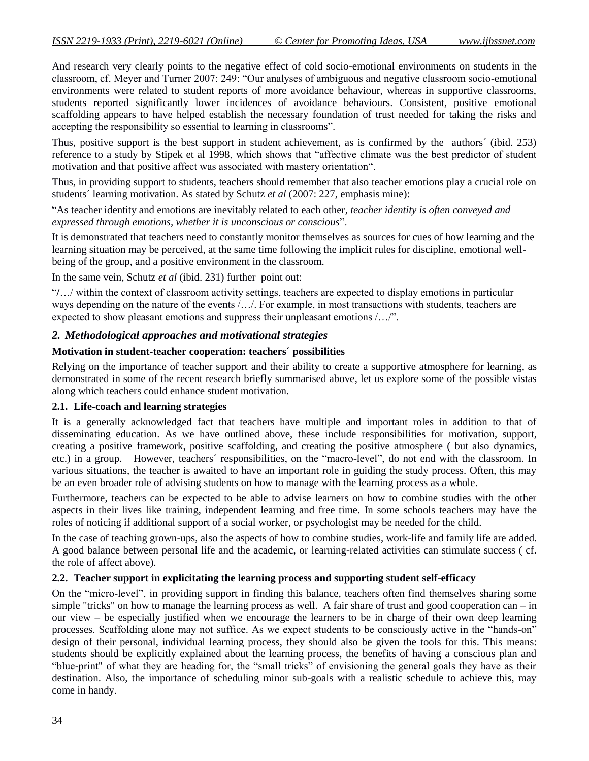And research very clearly points to the negative effect of cold socio-emotional environments on students in the classroom, cf. Meyer and Turner 2007: 249: "Our analyses of ambiguous and negative classroom socio-emotional environments were related to student reports of more avoidance behaviour, whereas in supportive classrooms, students reported significantly lower incidences of avoidance behaviours. Consistent, positive emotional scaffolding appears to have helped establish the necessary foundation of trust needed for taking the risks and accepting the responsibility so essential to learning in classrooms".

Thus, positive support is the best support in student achievement, as is confirmed by the authors´ (ibid. 253) reference to a study by Stipek et al 1998, which shows that "affective climate was the best predictor of student motivation and that positive affect was associated with mastery orientation".

Thus, in providing support to students, teachers should remember that also teacher emotions play a crucial role on students´ learning motivation. As stated by Schutz *et al* (2007: 227, emphasis mine):

"As teacher identity and emotions are inevitably related to each other*, teacher identity is often conveyed and expressed through emotions, whether it is unconscious or conscious*".

It is demonstrated that teachers need to constantly monitor themselves as sources for cues of how learning and the learning situation may be perceived, at the same time following the implicit rules for discipline, emotional wellbeing of the group, and a positive environment in the classroom.

In the same vein, Schutz *et al* (ibid. 231) further point out:

"**/**…/ within the context of classroom activity settings, teachers are expected to display emotions in particular ways depending on the nature of the events /…/. For example, in most transactions with students, teachers are expected to show pleasant emotions and suppress their unpleasant emotions /…/".

## *2. Methodological approaches and motivational strategies*

#### **Motivation in student-teacher cooperation: teachers´ possibilities**

Relying on the importance of teacher support and their ability to create a supportive atmosphere for learning, as demonstrated in some of the recent research briefly summarised above, let us explore some of the possible vistas along which teachers could enhance student motivation.

#### **2.1. Life-coach and learning strategies**

It is a generally acknowledged fact that teachers have multiple and important roles in addition to that of disseminating education. As we have outlined above, these include responsibilities for motivation, support, creating a positive framework, positive scaffolding, and creating the positive atmosphere ( but also dynamics, etc.) in a group. However, teachers´ responsibilities, on the "macro-level", do not end with the classroom. In various situations, the teacher is awaited to have an important role in guiding the study process. Often, this may be an even broader role of advising students on how to manage with the learning process as a whole.

Furthermore, teachers can be expected to be able to advise learners on how to combine studies with the other aspects in their lives like training, independent learning and free time. In some schools teachers may have the roles of noticing if additional support of a social worker, or psychologist may be needed for the child.

In the case of teaching grown-ups, also the aspects of how to combine studies, work-life and family life are added. A good balance between personal life and the academic, or learning-related activities can stimulate success ( cf. the role of affect above).

#### **2.2. Teacher support in explicitating the learning process and supporting student self-efficacy**

On the "micro-level", in providing support in finding this balance, teachers often find themselves sharing some simple "tricks" on how to manage the learning process as well. A fair share of trust and good cooperation can – in our view – be especially justified when we encourage the learners to be in charge of their own deep learning processes. Scaffolding alone may not suffice. As we expect students to be consciously active in the "hands-on" design of their personal, individual learning process, they should also be given the tools for this. This means: students should be explicitly explained about the learning process, the benefits of having a conscious plan and "blue-print" of what they are heading for, the "small tricks" of envisioning the general goals they have as their destination. Also, the importance of scheduling minor sub-goals with a realistic schedule to achieve this, may come in handy.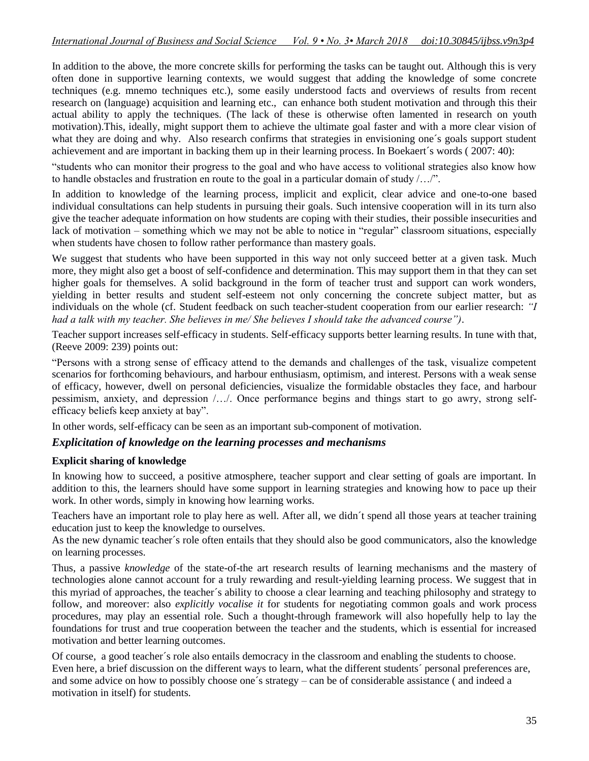In addition to the above, the more concrete skills for performing the tasks can be taught out. Although this is very often done in supportive learning contexts, we would suggest that adding the knowledge of some concrete techniques (e.g. mnemo techniques etc.), some easily understood facts and overviews of results from recent research on (language) acquisition and learning etc., can enhance both student motivation and through this their actual ability to apply the techniques. (The lack of these is otherwise often lamented in research on youth motivation).This, ideally, might support them to achieve the ultimate goal faster and with a more clear vision of what they are doing and why. Also research confirms that strategies in envisioning one's goals support student achievement and are important in backing them up in their learning process. In Boekaert´s words ( 2007: 40):

"students who can monitor their progress to the goal and who have access to volitional strategies also know how to handle obstacles and frustration en route to the goal in a particular domain of study /…/".

In addition to knowledge of the learning process, implicit and explicit, clear advice and one-to-one based individual consultations can help students in pursuing their goals. Such intensive cooperation will in its turn also give the teacher adequate information on how students are coping with their studies, their possible insecurities and lack of motivation – something which we may not be able to notice in "regular" classroom situations, especially when students have chosen to follow rather performance than mastery goals.

We suggest that students who have been supported in this way not only succeed better at a given task. Much more, they might also get a boost of self-confidence and determination. This may support them in that they can set higher goals for themselves. A solid background in the form of teacher trust and support can work wonders, yielding in better results and student self-esteem not only concerning the concrete subject matter, but as individuals on the whole (cf. Student feedback on such teacher-student cooperation from our earlier research: *"I had a talk with my teacher. She believes in me/ She believes I should take the advanced course")*.

Teacher support increases self-efficacy in students. Self-efficacy supports better learning results. In tune with that, (Reeve 2009: 239) points out:

"Persons with a strong sense of efficacy attend to the demands and challenges of the task, visualize competent scenarios for forthcoming behaviours, and harbour enthusiasm, optimism, and interest. Persons with a weak sense of efficacy, however, dwell on personal deficiencies, visualize the formidable obstacles they face, and harbour pessimism, anxiety, and depression /…/. Once performance begins and things start to go awry, strong selfefficacy beliefs keep anxiety at bay".

In other words, self-efficacy can be seen as an important sub-component of motivation.

## *Explicitation of knowledge on the learning processes and mechanisms*

#### **Explicit sharing of knowledge**

In knowing how to succeed, a positive atmosphere, teacher support and clear setting of goals are important. In addition to this, the learners should have some support in learning strategies and knowing how to pace up their work. In other words, simply in knowing how learning works.

Teachers have an important role to play here as well. After all, we didn´t spend all those years at teacher training education just to keep the knowledge to ourselves.

As the new dynamic teacher´s role often entails that they should also be good communicators, also the knowledge on learning processes.

Thus, a passive *knowledge* of the state-of-the art research results of learning mechanisms and the mastery of technologies alone cannot account for a truly rewarding and result-yielding learning process. We suggest that in this myriad of approaches, the teacher´s ability to choose a clear learning and teaching philosophy and strategy to follow, and moreover: also *explicitly vocalise it* for students for negotiating common goals and work process procedures, may play an essential role. Such a thought-through framework will also hopefully help to lay the foundations for trust and true cooperation between the teacher and the students, which is essential for increased motivation and better learning outcomes.

Of course, a good teacher´s role also entails democracy in the classroom and enabling the students to choose. Even here, a brief discussion on the different ways to learn, what the different students´ personal preferences are, and some advice on how to possibly choose one´s strategy – can be of considerable assistance ( and indeed a motivation in itself) for students.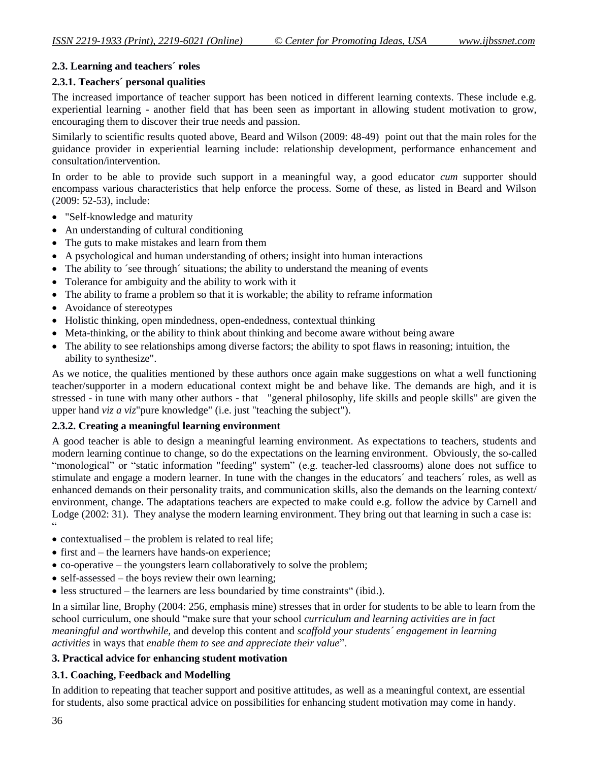## **2.3. Learning and teachers´ roles**

## **2.3.1. Teachers´ personal qualities**

The increased importance of teacher support has been noticed in different learning contexts. These include e.g. experiential learning - another field that has been seen as important in allowing student motivation to grow, encouraging them to discover their true needs and passion.

Similarly to scientific results quoted above, Beard and Wilson (2009: 48-49) point out that the main roles for the guidance provider in experiential learning include: relationship development, performance enhancement and consultation/intervention.

In order to be able to provide such support in a meaningful way, a good educator *cum* supporter should encompass various characteristics that help enforce the process. Some of these, as listed in Beard and Wilson (2009: 52-53), include:

- "Self-knowledge and maturity
- An understanding of cultural conditioning
- The guts to make mistakes and learn from them
- A psychological and human understanding of others; insight into human interactions
- The ability to 'see through' situations; the ability to understand the meaning of events
- Tolerance for ambiguity and the ability to work with it
- The ability to frame a problem so that it is workable; the ability to reframe information
- Avoidance of stereotypes
- Holistic thinking, open mindedness, open-endedness, contextual thinking
- Meta-thinking, or the ability to think about thinking and become aware without being aware
- The ability to see relationships among diverse factors; the ability to spot flaws in reasoning; intuition, the ability to synthesize".

As we notice, the qualities mentioned by these authors once again make suggestions on what a well functioning teacher/supporter in a modern educational context might be and behave like. The demands are high, and it is stressed - in tune with many other authors - that "general philosophy, life skills and people skills" are given the upper hand *viz a viz*"pure knowledge" (i.e. just "teaching the subject").

## **2.3.2. Creating a meaningful learning environment**

A good teacher is able to design a meaningful learning environment. As expectations to teachers, students and modern learning continue to change, so do the expectations on the learning environment. Obviously, the so-called "monological" or "static information "feeding" system" (e.g. teacher-led classrooms) alone does not suffice to stimulate and engage a modern learner. In tune with the changes in the educators´ and teachers´ roles, as well as enhanced demands on their personality traits, and communication skills, also the demands on the learning context/ environment, change. The adaptations teachers are expected to make could e.g. follow the advice by Carnell and Lodge (2002: 31). They analyse the modern learning environment. They bring out that learning in such a case is:  $\ddot{\phantom{0}}$ 

- $\bullet$  contextualised the problem is related to real life;
- $\bullet$  first and the learners have hands-on experience;
- co-operative the youngsters learn collaboratively to solve the problem;
- $\bullet$  self-assessed the boys review their own learning;
- less structured the learners are less boundaried by time constraints" (ibid.).

In a similar line, Brophy (2004: 256, emphasis mine) stresses that in order for students to be able to learn from the school curriculum, one should "make sure that your school *curriculum and learning activities are in fact meaningful and worthwhile,* and develop this content and *scaffold your students´ engagement in learning activities* in ways that *enable them to see and appreciate their value*".

## **3. Practical advice for enhancing student motivation**

## **3.1. Coaching, Feedback and Modelling**

In addition to repeating that teacher support and positive attitudes, as well as a meaningful context, are essential for students, also some practical advice on possibilities for enhancing student motivation may come in handy.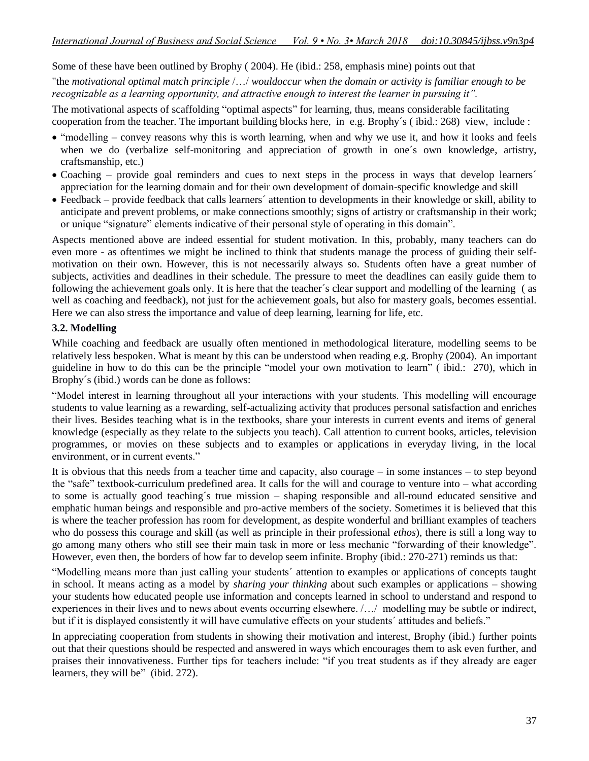#### Some of these have been outlined by Brophy ( 2004). He (ibid.: 258, emphasis mine) points out that

"the *motivational optimal match principle* /…/ *wouldoccur when the domain or activity is familiar enough to be recognizable as a learning opportunity, and attractive enough to interest the learner in pursuing it".* 

The motivational aspects of scaffolding "optimal aspects" for learning, thus, means considerable facilitating cooperation from the teacher. The important building blocks here, in e.g. Brophy´s ( ibid.: 268) view, include :

- "modelling convey reasons why this is worth learning, when and why we use it, and how it looks and feels when we do (verbalize self-monitoring and appreciation of growth in one´s own knowledge, artistry, craftsmanship, etc.)
- Coaching provide goal reminders and cues to next steps in the process in ways that develop learners<sup>'</sup> appreciation for the learning domain and for their own development of domain-specific knowledge and skill
- Feedback provide feedback that calls learners´ attention to developments in their knowledge or skill, ability to anticipate and prevent problems, or make connections smoothly; signs of artistry or craftsmanship in their work; or unique "signature" elements indicative of their personal style of operating in this domain".

Aspects mentioned above are indeed essential for student motivation. In this, probably, many teachers can do even more - as oftentimes we might be inclined to think that students manage the process of guiding their selfmotivation on their own. However, this is not necessarily always so. Students often have a great number of subjects, activities and deadlines in their schedule. The pressure to meet the deadlines can easily guide them to following the achievement goals only. It is here that the teacher´s clear support and modelling of the learning ( as well as coaching and feedback), not just for the achievement goals, but also for mastery goals, becomes essential. Here we can also stress the importance and value of deep learning, learning for life, etc.

#### **3.2. Modelling**

While coaching and feedback are usually often mentioned in methodological literature, modelling seems to be relatively less bespoken. What is meant by this can be understood when reading e.g. Brophy (2004). An important guideline in how to do this can be the principle "model your own motivation to learn" ( ibid.: 270), which in Brophy´s (ibid.) words can be done as follows:

"Model interest in learning throughout all your interactions with your students. This modelling will encourage students to value learning as a rewarding, self-actualizing activity that produces personal satisfaction and enriches their lives. Besides teaching what is in the textbooks, share your interests in current events and items of general knowledge (especially as they relate to the subjects you teach). Call attention to current books, articles, television programmes, or movies on these subjects and to examples or applications in everyday living, in the local environment, or in current events."

It is obvious that this needs from a teacher time and capacity, also courage – in some instances – to step beyond the "safe" textbook-curriculum predefined area. It calls for the will and courage to venture into – what according to some is actually good teaching´s true mission – shaping responsible and all-round educated sensitive and emphatic human beings and responsible and pro-active members of the society. Sometimes it is believed that this is where the teacher profession has room for development, as despite wonderful and brilliant examples of teachers who do possess this courage and skill (as well as principle in their professional *ethos*), there is still a long way to go among many others who still see their main task in more or less mechanic "forwarding of their knowledge". However, even then, the borders of how far to develop seem infinite. Brophy (ibid.: 270-271) reminds us that:

"Modelling means more than just calling your students´ attention to examples or applications of concepts taught in school. It means acting as a model by *sharing your thinking* about such examples or applications – showing your students how educated people use information and concepts learned in school to understand and respond to experiences in their lives and to news about events occurring elsewhere. /…/ modelling may be subtle or indirect, but if it is displayed consistently it will have cumulative effects on your students´ attitudes and beliefs."

In appreciating cooperation from students in showing their motivation and interest, Brophy (ibid.) further points out that their questions should be respected and answered in ways which encourages them to ask even further, and praises their innovativeness. Further tips for teachers include: "if you treat students as if they already are eager learners, they will be" (ibid. 272).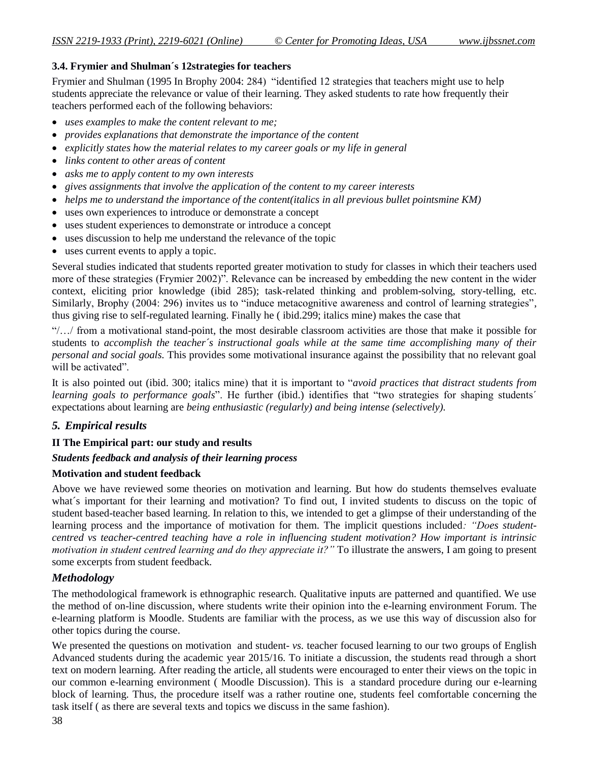## **3.4. Frymier and Shulman´s 12strategies for teachers**

Frymier and Shulman (1995 In Brophy 2004: 284) "identified 12 strategies that teachers might use to help students appreciate the relevance or value of their learning. They asked students to rate how frequently their teachers performed each of the following behaviors:

- *uses examples to make the content relevant to me;*
- *provides explanations that demonstrate the importance of the content*
- *explicitly states how the material relates to my career goals or my life in general*
- *links content to other areas of content*
- *asks me to apply content to my own interests*
- gives assignments that involve the application of the content to my career interests
- *helps me to understand the importance of the content(italics in all previous bullet pointsmine KM)*
- uses own experiences to introduce or demonstrate a concept
- uses student experiences to demonstrate or introduce a concept
- uses discussion to help me understand the relevance of the topic
- uses current events to apply a topic.

Several studies indicated that students reported greater motivation to study for classes in which their teachers used more of these strategies (Frymier 2002)". Relevance can be increased by embedding the new content in the wider context, eliciting prior knowledge (ibid 285); task-related thinking and problem-solving, story-telling, etc. Similarly, Brophy (2004: 296) invites us to "induce metacognitive awareness and control of learning strategies", thus giving rise to self-regulated learning. Finally he ( ibid.299; italics mine) makes the case that

"/…/ from a motivational stand-point, the most desirable classroom activities are those that make it possible for students to *accomplish the teacher´s instructional goals while at the same time accomplishing many of their personal and social goals.* This provides some motivational insurance against the possibility that no relevant goal will be activated".

It is also pointed out (ibid. 300; italics mine) that it is important to "*avoid practices that distract students from learning goals to performance goals*". He further (ibid.) identifies that "two strategies for shaping students´ expectations about learning are *being enthusiastic (regularly) and being intense (selectively).* 

## *5. Empirical results*

## **II The Empirical part: our study and results**

## *Students feedback and analysis of their learning process*

#### **Motivation and student feedback**

Above we have reviewed some theories on motivation and learning. But how do students themselves evaluate what's important for their learning and motivation? To find out, I invited students to discuss on the topic of student based-teacher based learning. In relation to this, we intended to get a glimpse of their understanding of the learning process and the importance of motivation for them. The implicit questions included*: "Does studentcentred vs teacher-centred teaching have a role in influencing student motivation? How important is intrinsic motivation in student centred learning and do they appreciate it?"* To illustrate the answers, I am going to present some excerpts from student feedback.

## *Methodology*

The methodological framework is ethnographic research. Qualitative inputs are patterned and quantified. We use the method of on-line discussion, where students write their opinion into the e-learning environment Forum. The e-learning platform is Moodle. Students are familiar with the process, as we use this way of discussion also for other topics during the course.

We presented the questions on motivation and student- *vs.* teacher focused learning to our two groups of English Advanced students during the academic year 2015/16. To initiate a discussion, the students read through a short text on modern learning. After reading the article, all students were encouraged to enter their views on the topic in our common e-learning environment ( Moodle Discussion). This is a standard procedure during our e-learning block of learning. Thus, the procedure itself was a rather routine one, students feel comfortable concerning the task itself ( as there are several texts and topics we discuss in the same fashion).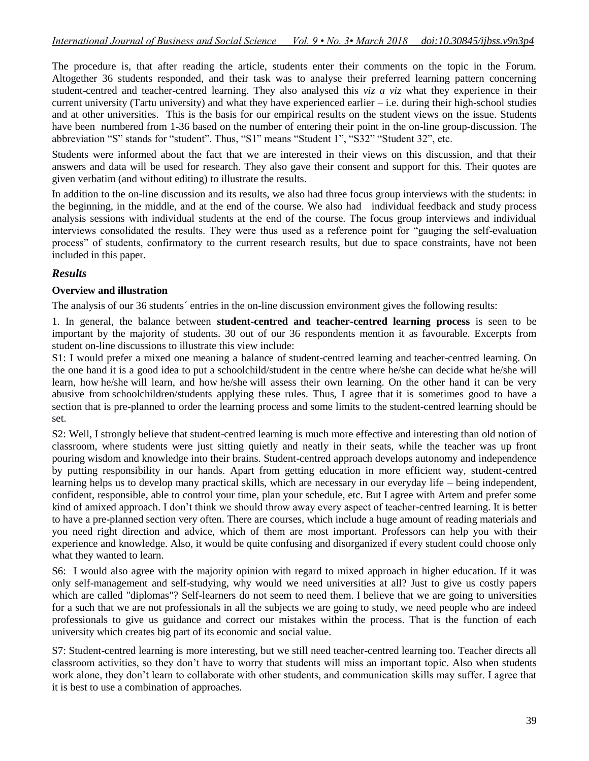The procedure is, that after reading the article, students enter their comments on the topic in the Forum. Altogether 36 students responded, and their task was to analyse their preferred learning pattern concerning student-centred and teacher-centred learning. They also analysed this *viz a viz* what they experience in their current university (Tartu university) and what they have experienced earlier  $-i.e.$  during their high-school studies and at other universities. This is the basis for our empirical results on the student views on the issue. Students have been numbered from 1-36 based on the number of entering their point in the on-line group-discussion. The abbreviation "S" stands for "student". Thus, "S1" means "Student 1", "S32" "Student 32", etc.

Students were informed about the fact that we are interested in their views on this discussion, and that their answers and data will be used for research. They also gave their consent and support for this. Their quotes are given verbatim (and without editing) to illustrate the results.

In addition to the on-line discussion and its results, we also had three focus group interviews with the students: in the beginning, in the middle, and at the end of the course. We also had individual feedback and study process analysis sessions with individual students at the end of the course. The focus group interviews and individual interviews consolidated the results. They were thus used as a reference point for "gauging the self-evaluation process" of students, confirmatory to the current research results, but due to space constraints, have not been included in this paper.

## *Results*

## **Overview and illustration**

The analysis of our 36 students´ entries in the on-line discussion environment gives the following results:

1. In general, the balance between **student-centred and teacher-centred learning process** is seen to be important by the majority of students. 30 out of our 36 respondents mention it as favourable. Excerpts from student on-line discussions to illustrate this view include:

S1: I would prefer a mixed one meaning a balance of student-centred learning and teacher-centred learning. On the one hand it is a good idea to put a schoolchild/student in the centre where he/she can decide what he/she will learn, how he/she will learn, and how he/she will assess their own learning. On the other hand it can be very abusive from schoolchildren/students applying these rules. Thus, I agree that it is sometimes good to have a section that is pre-planned to order the learning process and some limits to the student-centred learning should be set.

S2: Well, I strongly believe that student-centred learning is much more effective and interesting than old notion of classroom, where students were just sitting quietly and neatly in their seats, while the teacher was up front pouring wisdom and knowledge into their brains. Student-centred approach develops autonomy and independence by putting responsibility in our hands. Apart from getting education in more efficient way, student-centred learning helps us to develop many practical skills, which are necessary in our everyday life – being independent, confident, responsible, able to control your time, plan your schedule, etc. But I agree with Artem and prefer some kind of amixed approach. I don"t think we should throw away every aspect of teacher-centred learning. It is better to have a pre-planned section very often. There are courses, which include a huge amount of reading materials and you need right direction and advice, which of them are most important. Professors can help you with their experience and knowledge. Also, it would be quite confusing and disorganized if every student could choose only what they wanted to learn.

S6: I would also agree with the majority opinion with regard to mixed approach in higher education. If it was only self-management and self-studying, why would we need universities at all? Just to give us costly papers which are called "diplomas"? Self-learners do not seem to need them. I believe that we are going to universities for a such that we are not professionals in all the subjects we are going to study, we need people who are indeed professionals to give us guidance and correct our mistakes within the process. That is the function of each university which creates big part of its economic and social value.

S7: Student-centred learning is more interesting, but we still need teacher-centred learning too. Teacher directs all classroom activities, so they don"t have to worry that students will miss an important topic. Also when students work alone, they don't learn to collaborate with other students, and communication skills may suffer. I agree that it is best to use a combination of approaches.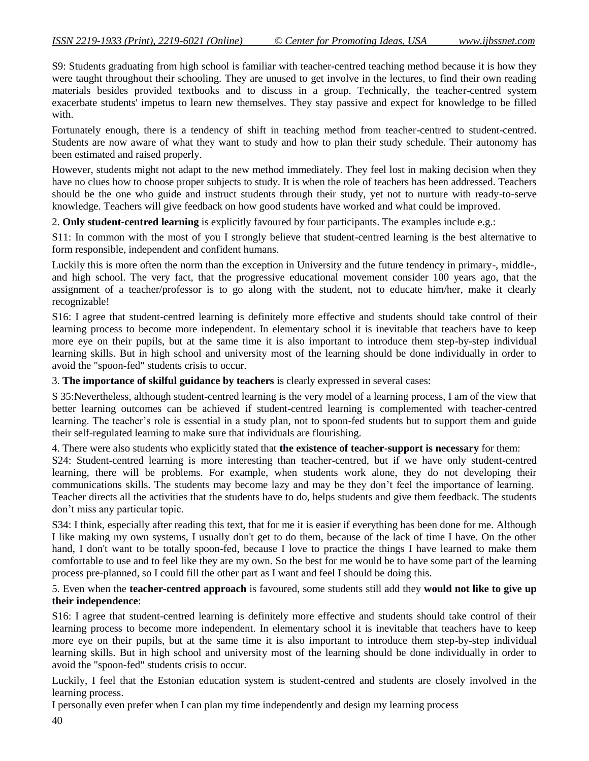S9: Students graduating from high school is familiar with teacher-centred teaching method because it is how they were taught throughout their schooling. They are unused to get involve in the lectures, to find their own reading materials besides provided textbooks and to discuss in a group. Technically, the teacher-centred system exacerbate students' impetus to learn new themselves. They stay passive and expect for knowledge to be filled with.

Fortunately enough, there is a tendency of shift in teaching method from teacher-centred to student-centred. Students are now aware of what they want to study and how to plan their study schedule. Their autonomy has been estimated and raised properly.

However, students might not adapt to the new method immediately. They feel lost in making decision when they have no clues how to choose proper subjects to study. It is when the role of teachers has been addressed. Teachers should be the one who guide and instruct students through their study, yet not to nurture with ready-to-serve knowledge. Teachers will give feedback on how good students have worked and what could be improved.

2. **Only student-centred learning** is explicitly favoured by four participants. The examples include e.g.:

S11: In common with the most of you I strongly believe that student-centred learning is the best alternative to form responsible, independent and confident humans.

Luckily this is more often the norm than the exception in University and the future tendency in primary-, middle-, and high school. The very fact, that the progressive educational movement consider 100 years ago, that the assignment of a teacher/professor is to go along with the student, not to educate him/her, make it clearly recognizable!

S16: I agree that student-centred learning is definitely more effective and students should take control of their learning process to become more independent. In elementary school it is inevitable that teachers have to keep more eye on their pupils, but at the same time it is also important to introduce them step-by-step individual learning skills. But in high school and university most of the learning should be done individually in order to avoid the "spoon-fed" students crisis to occur.

3. **The importance of skilful guidance by teachers** is clearly expressed in several cases:

S 35:Nevertheless, although student-centred learning is the very model of a learning process, I am of the view that better learning outcomes can be achieved if student-centred learning is complemented with teacher-centred learning. The teacher's role is essential in a study plan, not to spoon-fed students but to support them and guide their self-regulated learning to make sure that individuals are flourishing.

4. There were also students who explicitly stated that **the existence of teacher-support is necessary** for them:

S24: Student-centred learning is more interesting than teacher-centred, but if we have only student-centred learning, there will be problems. For example, when students work alone, they do not developing their communications skills. The students may become lazy and may be they don"t feel the importance of learning. Teacher directs all the activities that the students have to do, helps students and give them feedback. The students don"t miss any particular topic.

S34: I think, especially after reading this text, that for me it is easier if everything has been done for me. Although I like making my own systems, I usually don't get to do them, because of the lack of time I have. On the other hand, I don't want to be totally spoon-fed, because I love to practice the things I have learned to make them comfortable to use and to feel like they are my own. So the best for me would be to have some part of the learning process pre-planned, so I could fill the other part as I want and feel I should be doing this.

5. Even when the **teacher-centred approach** is favoured, some students still add they **would not like to give up their independence**:

S16: I agree that student-centred learning is definitely more effective and students should take control of their learning process to become more independent. In elementary school it is inevitable that teachers have to keep more eye on their pupils, but at the same time it is also important to introduce them step-by-step individual learning skills. But in high school and university most of the learning should be done individually in order to avoid the "spoon-fed" students crisis to occur.

Luckily, I feel that the Estonian education system is student-centred and students are closely involved in the learning process.

I personally even prefer when I can plan my time independently and design my learning process

40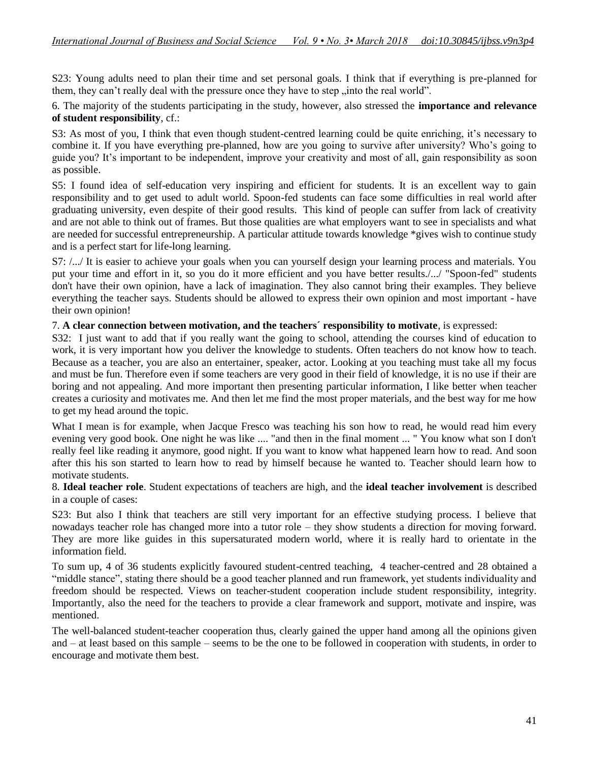S23: Young adults need to plan their time and set personal goals. I think that if everything is pre-planned for them, they can't really deal with the pressure once they have to step , into the real world".

6. The majority of the students participating in the study, however, also stressed the **importance and relevance of student responsibility**, cf.:

S3: As most of you, I think that even though student-centred learning could be quite enriching, it's necessary to combine it. If you have everything pre-planned, how are you going to survive after university? Who"s going to guide you? It"s important to be independent, improve your creativity and most of all, gain responsibility as soon as possible.

S5: I found idea of self-education very inspiring and efficient for students. It is an excellent way to gain responsibility and to get used to adult world. Spoon-fed students can face some difficulties in real world after graduating university, even despite of their good results. This kind of people can suffer from lack of creativity and are not able to think out of frames. But those qualities are what employers want to see in specialists and what are needed for successful entrepreneurship. A particular attitude towards knowledge \*gives wish to continue study and is a perfect start for life-long learning.

S7: /.../ It is easier to achieve your goals when you can yourself design your learning process and materials. You put your time and effort in it, so you do it more efficient and you have better results./.../ "Spoon-fed" students don't have their own opinion, have a lack of imagination. They also cannot bring their examples. They believe everything the teacher says. Students should be allowed to express their own opinion and most important - have their own opinion!

#### 7. **A clear connection between motivation, and the teachers´ responsibility to motivate**, is expressed:

S32: I just want to add that if you really want the going to school, attending the courses kind of education to work, it is very important how you deliver the knowledge to students. Often teachers do not know how to teach. Because as a teacher, you are also an entertainer, speaker, actor. Looking at you teaching must take all my focus and must be fun. Therefore even if some teachers are very good in their field of knowledge, it is no use if their are boring and not appealing. And more important then presenting particular information, I like better when teacher creates a curiosity and motivates me. And then let me find the most proper materials, and the best way for me how to get my head around the topic.

What I mean is for example, when Jacque Fresco was teaching his son how to read, he would read him every evening very good book. One night he was like .... "and then in the final moment ... " You know what son I don't really feel like reading it anymore, good night. If you want to know what happened learn how to read. And soon after this his son started to learn how to read by himself because he wanted to. Teacher should learn how to motivate students.

8. **Ideal teacher role**. Student expectations of teachers are high, and the **ideal teacher involvement** is described in a couple of cases:

S23: But also I think that teachers are still very important for an effective studying process. I believe that nowadays teacher role has changed more into a tutor role – they show students a direction for moving forward. They are more like guides in this supersaturated modern world, where it is really hard to orientate in the information field.

To sum up, 4 of 36 students explicitly favoured student-centred teaching, 4 teacher-centred and 28 obtained a "middle stance", stating there should be a good teacher planned and run framework, yet students individuality and freedom should be respected. Views on teacher-student cooperation include student responsibility, integrity. Importantly, also the need for the teachers to provide a clear framework and support, motivate and inspire, was mentioned.

The well-balanced student-teacher cooperation thus, clearly gained the upper hand among all the opinions given and – at least based on this sample – seems to be the one to be followed in cooperation with students, in order to encourage and motivate them best.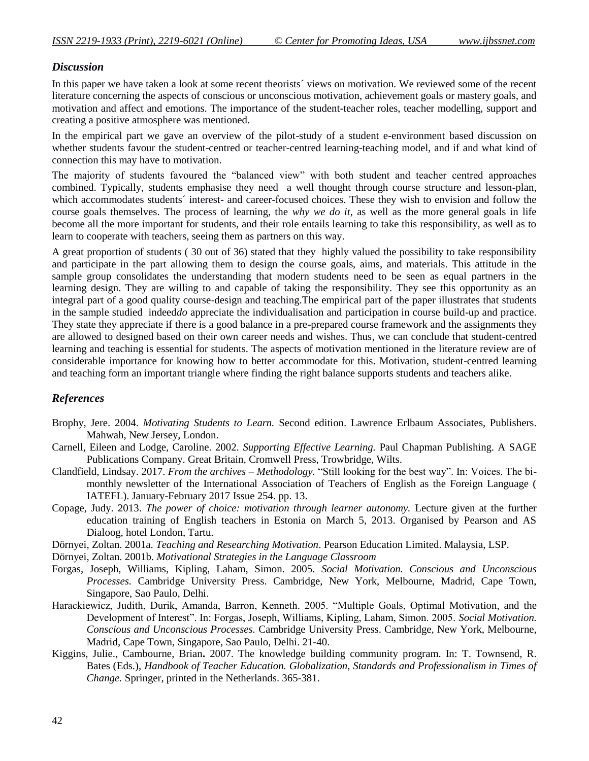## *Discussion*

In this paper we have taken a look at some recent theorists' views on motivation. We reviewed some of the recent literature concerning the aspects of conscious or unconscious motivation, achievement goals or mastery goals, and motivation and affect and emotions. The importance of the student-teacher roles, teacher modelling, support and creating a positive atmosphere was mentioned.

In the empirical part we gave an overview of the pilot-study of a student e-environment based discussion on whether students favour the student-centred or teacher-centred learning-teaching model, and if and what kind of connection this may have to motivation.

The majority of students favoured the "balanced view" with both student and teacher centred approaches combined. Typically, students emphasise they need a well thought through course structure and lesson-plan, which accommodates students' interest- and career-focused choices. These they wish to envision and follow the course goals themselves. The process of learning, the *why we do it*, as well as the more general goals in life become all the more important for students, and their role entails learning to take this responsibility, as well as to learn to cooperate with teachers, seeing them as partners on this way.

A great proportion of students ( 30 out of 36) stated that they highly valued the possibility to take responsibility and participate in the part allowing them to design the course goals, aims, and materials. This attitude in the sample group consolidates the understanding that modern students need to be seen as equal partners in the learning design. They are willing to and capable of taking the responsibility. They see this opportunity as an integral part of a good quality course-design and teaching.The empirical part of the paper illustrates that students in the sample studied indeed*do* appreciate the individualisation and participation in course build-up and practice. They state they appreciate if there is a good balance in a pre-prepared course framework and the assignments they are allowed to designed based on their own career needs and wishes. Thus, we can conclude that student-centred learning and teaching is essential for students. The aspects of motivation mentioned in the literature review are of considerable importance for knowing how to better accommodate for this. Motivation, student-centred learning and teaching form an important triangle where finding the right balance supports students and teachers alike.

## *References*

- Brophy, Jere. 2004. *Motivating Students to Learn.* Second edition. Lawrence Erlbaum Associates, Publishers. Mahwah, New Jersey, London.
- Carnell, Eileen and Lodge, Caroline. 2002. *Supporting Effective Learning.* Paul Chapman Publishing. A SAGE Publications Company. Great Britain, Cromwell Press, Trowbridge, Wilts.
- Clandfield, Lindsay. 2017. *From the archives – Methodology.* "Still looking for the best way". In: Voices. The bimonthly newsletter of the International Association of Teachers of English as the Foreign Language ( IATEFL). January-February 2017 Issue 254. pp. 13.
- Copage, Judy. 2013. *The power of choice: motivation through learner autonomy.* Lecture given at the further education training of English teachers in Estonia on March 5, 2013. Organised by Pearson and AS Dialoog, hotel London, Tartu.
- Dörnyei, Zoltan. 2001a. *Teaching and Researching Motivation*. Pearson Education Limited. Malaysia, LSP.

Dörnyei, Zoltan. 2001b. *Motivational Strategies in the Language Classroom*

- Forgas, Joseph, Williams, Kipling, Laham, Simon. 2005. *Social Motivation. Conscious and Unconscious Processes.* Cambridge University Press. Cambridge, New York, Melbourne, Madrid, Cape Town, Singapore, Sao Paulo, Delhi.
- Harackiewicz, Judith, Durik, Amanda, Barron, Kenneth. 2005. "Multiple Goals, Optimal Motivation, and the Development of Interest". In: Forgas, Joseph, Williams, Kipling, Laham, Simon. 2005. *Social Motivation. Conscious and Unconscious Processes.* Cambridge University Press. Cambridge, New York, Melbourne, Madrid, Cape Town, Singapore, Sao Paulo, Delhi. 21-40.
- Kiggins, Julie., Cambourne, Brian**.** 2007. The knowledge building community program. In: T. Townsend, R. Bates (Eds.), *Handbook of Teacher Education. Globalization, Standards and Professionalism in Times of Change.* Springer, printed in the Netherlands. 365-381.